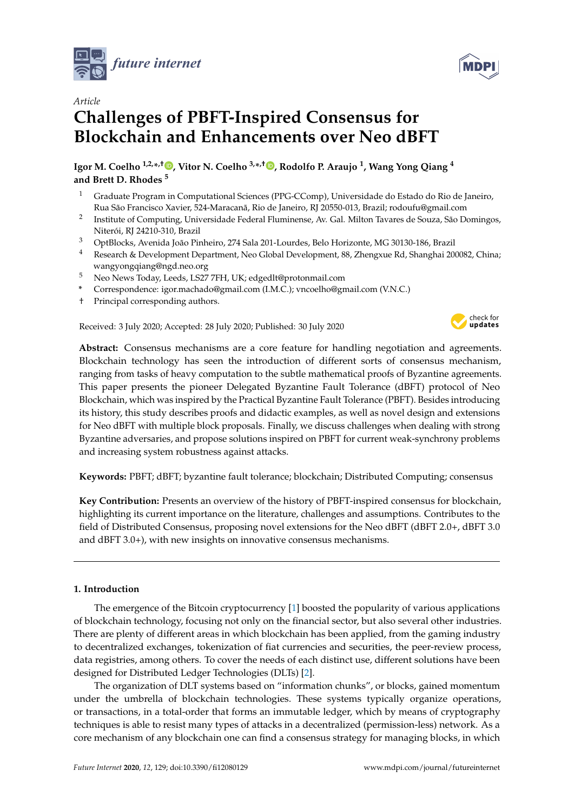

# *Article* **Challenges of PBFT-Inspired Consensus for Blockchain and Enhancements over Neo dBFT**

**Igor M. Coelho 1,2,\* ,† [,](https://orcid.org/0000-0001-6373-4907) Vitor N. Coelho 3,\* ,† [,](https://orcid.org/0000-0001-6616-8947) Rodolfo P. Araujo <sup>1</sup> , Wang Yong Qiang <sup>4</sup> and Brett D. Rhodes <sup>5</sup>**

- <sup>1</sup> Graduate Program in Computational Sciences (PPG-CComp), Universidade do Estado do Rio de Janeiro, Rua São Francisco Xavier, 524-Maracanã, Rio de Janeiro, RJ 20550-013, Brazil; rodoufu@gmail.com
- 2 Institute of Computing, Universidade Federal Fluminense, Av. Gal. Milton Tavares de Souza, São Domingos, Niterói, RJ 24210-310, Brazil
- <sup>3</sup> OptBlocks, Avenida João Pinheiro, 274 Sala 201-Lourdes, Belo Horizonte, MG 30130-186, Brazil
- <sup>4</sup> Research & Development Department, Neo Global Development, 88, Zhengxue Rd, Shanghai 200082, China; wangyongqiang@ngd.neo.org
- <sup>5</sup> Neo News Today, Leeds, LS27 7FH, UK; edgedlt@protonmail.com
- **\*** Correspondence: igor.machado@gmail.com (I.M.C.); vncoelho@gmail.com (V.N.C.)
- † Principal corresponding authors.

Received: 3 July 2020; Accepted: 28 July 2020; Published: 30 July 2020



**Abstract:** Consensus mechanisms are a core feature for handling negotiation and agreements. Blockchain technology has seen the introduction of different sorts of consensus mechanism, ranging from tasks of heavy computation to the subtle mathematical proofs of Byzantine agreements. This paper presents the pioneer Delegated Byzantine Fault Tolerance (dBFT) protocol of Neo Blockchain, which was inspired by the Practical Byzantine Fault Tolerance (PBFT). Besides introducing its history, this study describes proofs and didactic examples, as well as novel design and extensions for Neo dBFT with multiple block proposals. Finally, we discuss challenges when dealing with strong Byzantine adversaries, and propose solutions inspired on PBFT for current weak-synchrony problems and increasing system robustness against attacks.

**Keywords:** PBFT; dBFT; byzantine fault tolerance; blockchain; Distributed Computing; consensus

**Key Contribution:** Presents an overview of the history of PBFT-inspired consensus for blockchain, highlighting its current importance on the literature, challenges and assumptions. Contributes to the field of Distributed Consensus, proposing novel extensions for the Neo dBFT (dBFT 2.0+, dBFT 3.0 and dBFT 3.0+), with new insights on innovative consensus mechanisms.

# **1. Introduction**

The emergence of the Bitcoin cryptocurrency [\[1\]](#page-18-0) boosted the popularity of various applications of blockchain technology, focusing not only on the financial sector, but also several other industries. There are plenty of different areas in which blockchain has been applied, from the gaming industry to decentralized exchanges, tokenization of fiat currencies and securities, the peer-review process, data registries, among others. To cover the needs of each distinct use, different solutions have been designed for Distributed Ledger Technologies (DLTs) [\[2\]](#page-18-1).

The organization of DLT systems based on "information chunks", or blocks, gained momentum under the umbrella of blockchain technologies. These systems typically organize operations, or transactions, in a total-order that forms an immutable ledger, which by means of cryptography techniques is able to resist many types of attacks in a decentralized (permission-less) network. As a core mechanism of any blockchain one can find a consensus strategy for managing blocks, in which

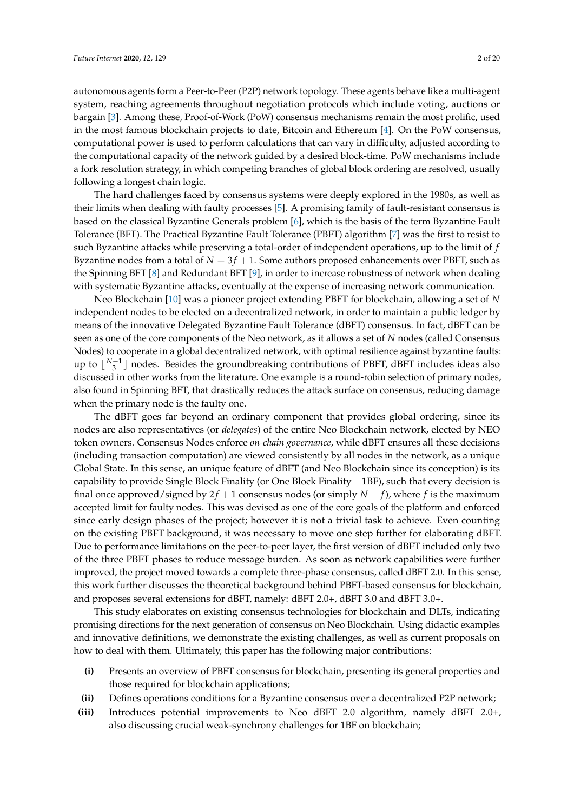autonomous agents form a Peer-to-Peer (P2P) network topology. These agents behave like a multi-agent system, reaching agreements throughout negotiation protocols which include voting, auctions or bargain [\[3\]](#page-18-2). Among these, Proof-of-Work (PoW) consensus mechanisms remain the most prolific, used in the most famous blockchain projects to date, Bitcoin and Ethereum [\[4\]](#page-18-3). On the PoW consensus, computational power is used to perform calculations that can vary in difficulty, adjusted according to the computational capacity of the network guided by a desired block-time. PoW mechanisms include a fork resolution strategy, in which competing branches of global block ordering are resolved, usually following a longest chain logic.

The hard challenges faced by consensus systems were deeply explored in the 1980s, as well as their limits when dealing with faulty processes [\[5\]](#page-18-4). A promising family of fault-resistant consensus is based on the classical Byzantine Generals problem [\[6\]](#page-18-5), which is the basis of the term Byzantine Fault Tolerance (BFT). The Practical Byzantine Fault Tolerance (PBFT) algorithm [\[7\]](#page-18-6) was the first to resist to such Byzantine attacks while preserving a total-order of independent operations, up to the limit of *f* Byzantine nodes from a total of  $N = 3f + 1$ . Some authors proposed enhancements over PBFT, such as the Spinning BFT [\[8\]](#page-18-7) and Redundant BFT [\[9\]](#page-19-0), in order to increase robustness of network when dealing with systematic Byzantine attacks, eventually at the expense of increasing network communication.

Neo Blockchain [\[10\]](#page-19-1) was a pioneer project extending PBFT for blockchain, allowing a set of *N* independent nodes to be elected on a decentralized network, in order to maintain a public ledger by means of the innovative Delegated Byzantine Fault Tolerance (dBFT) consensus. In fact, dBFT can be seen as one of the core components of the Neo network, as it allows a set of *N* nodes (called Consensus Nodes) to cooperate in a global decentralized network, with optimal resilience against byzantine faults: up to  $\lfloor \frac{N-1}{3} \rfloor$  nodes. Besides the groundbreaking contributions of PBFT, dBFT includes ideas also discussed in other works from the literature. One example is a round-robin selection of primary nodes, also found in Spinning BFT, that drastically reduces the attack surface on consensus, reducing damage when the primary node is the faulty one.

The dBFT goes far beyond an ordinary component that provides global ordering, since its nodes are also representatives (or *delegates*) of the entire Neo Blockchain network, elected by NEO token owners. Consensus Nodes enforce *on-chain governance*, while dBFT ensures all these decisions (including transaction computation) are viewed consistently by all nodes in the network, as a unique Global State. In this sense, an unique feature of dBFT (and Neo Blockchain since its conception) is its capability to provide Single Block Finality (or One Block Finality− 1BF), such that every decision is final once approved/signed by  $2f + 1$  consensus nodes (or simply  $N - f$ ), where *f* is the maximum accepted limit for faulty nodes. This was devised as one of the core goals of the platform and enforced since early design phases of the project; however it is not a trivial task to achieve. Even counting on the existing PBFT background, it was necessary to move one step further for elaborating dBFT. Due to performance limitations on the peer-to-peer layer, the first version of dBFT included only two of the three PBFT phases to reduce message burden. As soon as network capabilities were further improved, the project moved towards a complete three-phase consensus, called dBFT 2.0. In this sense, this work further discusses the theoretical background behind PBFT-based consensus for blockchain, and proposes several extensions for dBFT, namely: dBFT 2.0+, dBFT 3.0 and dBFT 3.0+.

This study elaborates on existing consensus technologies for blockchain and DLTs, indicating promising directions for the next generation of consensus on Neo Blockchain. Using didactic examples and innovative definitions, we demonstrate the existing challenges, as well as current proposals on how to deal with them. Ultimately, this paper has the following major contributions:

- **(i)** Presents an overview of PBFT consensus for blockchain, presenting its general properties and those required for blockchain applications;
- **(ii)** Defines operations conditions for a Byzantine consensus over a decentralized P2P network;
- **(iii)** Introduces potential improvements to Neo dBFT 2.0 algorithm, namely dBFT 2.0+, also discussing crucial weak-synchrony challenges for 1BF on blockchain;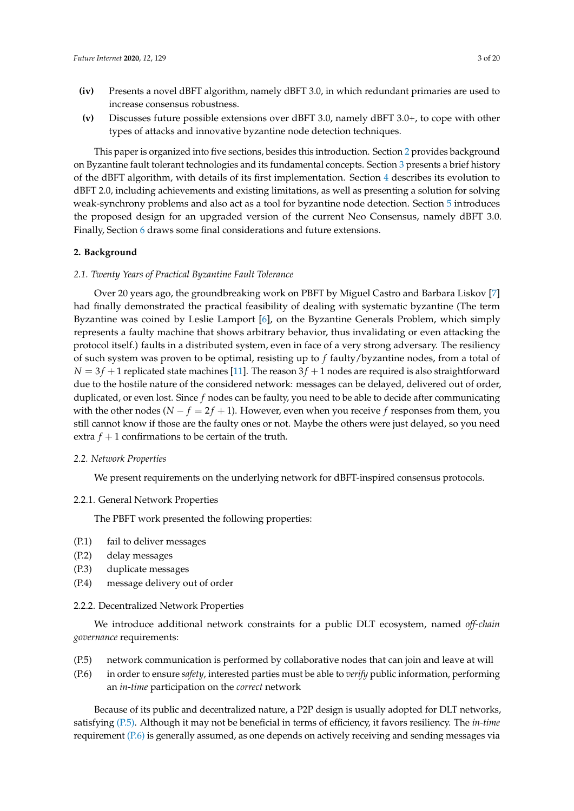- **(iv)** Presents a novel dBFT algorithm, namely dBFT 3.0, in which redundant primaries are used to increase consensus robustness.
- **(v)** Discusses future possible extensions over dBFT 3.0, namely dBFT 3.0+, to cope with other types of attacks and innovative byzantine node detection techniques.

This paper is organized into five sections, besides this introduction. Section [2](#page-2-0) provides background on Byzantine fault tolerant technologies and its fundamental concepts. Section [3](#page-5-0) presents a brief history of the dBFT algorithm, with details of its first implementation. Section [4](#page-8-0) describes its evolution to dBFT 2.0, including achievements and existing limitations, as well as presenting a solution for solving weak-synchrony problems and also act as a tool for byzantine node detection. Section [5](#page-12-0) introduces the proposed design for an upgraded version of the current Neo Consensus, namely dBFT 3.0. Finally, Section [6](#page-17-0) draws some final considerations and future extensions.

## <span id="page-2-0"></span>**2. Background**

#### *2.1. Twenty Years of Practical Byzantine Fault Tolerance*

Over 20 years ago, the groundbreaking work on PBFT by Miguel Castro and Barbara Liskov [\[7\]](#page-18-6) had finally demonstrated the practical feasibility of dealing with systematic byzantine (The term Byzantine was coined by Leslie Lamport [\[6\]](#page-18-5), on the Byzantine Generals Problem, which simply represents a faulty machine that shows arbitrary behavior, thus invalidating or even attacking the protocol itself.) faults in a distributed system, even in face of a very strong adversary. The resiliency of such system was proven to be optimal, resisting up to *f* faulty/byzantine nodes, from a total of  $N = 3f + 1$  replicated state machines [\[11\]](#page-19-2). The reason  $3f + 1$  nodes are required is also straightforward due to the hostile nature of the considered network: messages can be delayed, delivered out of order, duplicated, or even lost. Since *f* nodes can be faulty, you need to be able to decide after communicating with the other nodes ( $N - f = 2f + 1$ ). However, even when you receive f responses from them, you still cannot know if those are the faulty ones or not. Maybe the others were just delayed, so you need extra  $f + 1$  confirmations to be certain of the truth.

## *2.2. Network Properties*

We present requirements on the underlying network for dBFT-inspired consensus protocols.

#### <span id="page-2-4"></span>2.2.1. General Network Properties

The PBFT work presented the following properties:

- <span id="page-2-3"></span>(P.1) fail to deliver messages
- (P.2) delay messages
- <span id="page-2-5"></span>(P.3) duplicate messages
- (P.4) message delivery out of order

#### 2.2.2. Decentralized Network Properties

We introduce additional network constraints for a public DLT ecosystem, named *off-chain governance* requirements:

- <span id="page-2-2"></span><span id="page-2-1"></span>(P.5) network communication is performed by collaborative nodes that can join and leave at will
- (P.6) in order to ensure *safety*, interested parties must be able to *verify* public information, performing an *in-time* participation on the *correct* network

Because of its public and decentralized nature, a P2P design is usually adopted for DLT networks, satisfying [\(P.5\).](#page-2-1) Although it may not be beneficial in terms of efficiency, it favors resiliency. The *in-time* requirement [\(P.6\)](#page-2-2) is generally assumed, as one depends on actively receiving and sending messages via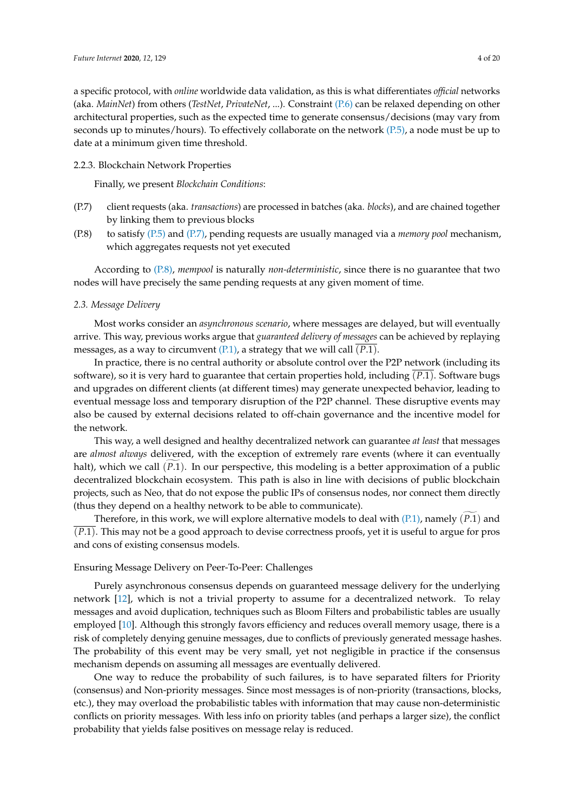a specific protocol, with *online* worldwide data validation, as this is what differentiates *official* networks (aka. *MainNet*) from others (*TestNet*, *PrivateNet*, ...). Constraint [\(P.6\)](#page-2-2) can be relaxed depending on other architectural properties, such as the expected time to generate consensus/decisions (may vary from seconds up to minutes/hours). To effectively collaborate on the network [\(P.5\),](#page-2-1) a node must be up to date at a minimum given time threshold.

## 2.2.3. Blockchain Network Properties

Finally, we present *Blockchain Conditions*:

- <span id="page-3-0"></span>(P.7) client requests (aka. *transactions*) are processed in batches (aka. *blocks*), and are chained together by linking them to previous blocks
- <span id="page-3-1"></span>(P.8) to satisfy [\(P.5\)](#page-2-1) and [\(P.7\),](#page-3-0) pending requests are usually managed via a *memory pool* mechanism, which aggregates requests not yet executed

According to [\(P.8\),](#page-3-1) *mempool* is naturally *non-deterministic*, since there is no guarantee that two nodes will have precisely the same pending requests at any given moment of time.

#### *2.3. Message Delivery*

Most works consider an *asynchronous scenario*, where messages are delayed, but will eventually arrive. This way, previous works argue that *guaranteed delivery of messages* can be achieved by replaying messages, as a way to circumvent [\(P.1\),](#page-2-3) a strategy that we will call (*P*.1).

In practice, there is no central authority or absolute control over the P2P network (including its software), so it is very hard to guarantee that certain properties hold, including (*P*.1). Software bugs and upgrades on different clients (at different times) may generate unexpected behavior, leading to eventual message loss and temporary disruption of the P2P channel. These disruptive events may also be caused by external decisions related to off-chain governance and the incentive model for the network.

This way, a well designed and healthy decentralized network can guarantee *at least* that messages are *almost always* delivered, with the exception of extremely rare events (where it can eventually halt), which we call (P<sub>.1</sub>). In our perspective, this modeling is a better approximation of a public decentralized blockchain ecosystem. This path is also in line with decisions of public blockchain projects, such as Neo, that do not expose the public IPs of consensus nodes, nor connect them directly (thus they depend on a healthy network to be able to communicate).

Therefore, in this work, we will explore alternative models to deal with  $(P.1)$ , namely  $(P.1)$  and (*P*.1). This may not be a good approach to devise correctness proofs, yet it is useful to argue for pros and cons of existing consensus models.

#### Ensuring Message Delivery on Peer-To-Peer: Challenges

Purely asynchronous consensus depends on guaranteed message delivery for the underlying network [\[12\]](#page-19-3), which is not a trivial property to assume for a decentralized network. To relay messages and avoid duplication, techniques such as Bloom Filters and probabilistic tables are usually employed [\[10\]](#page-19-1). Although this strongly favors efficiency and reduces overall memory usage, there is a risk of completely denying genuine messages, due to conflicts of previously generated message hashes. The probability of this event may be very small, yet not negligible in practice if the consensus mechanism depends on assuming all messages are eventually delivered.

One way to reduce the probability of such failures, is to have separated filters for Priority (consensus) and Non-priority messages. Since most messages is of non-priority (transactions, blocks, etc.), they may overload the probabilistic tables with information that may cause non-deterministic conflicts on priority messages. With less info on priority tables (and perhaps a larger size), the conflict probability that yields false positives on message relay is reduced.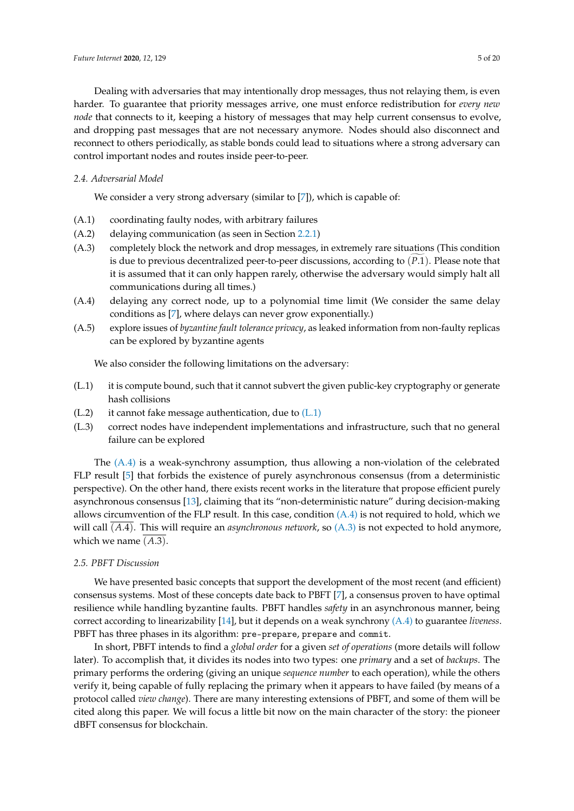Dealing with adversaries that may intentionally drop messages, thus not relaying them, is even harder. To guarantee that priority messages arrive, one must enforce redistribution for *every new node* that connects to it, keeping a history of messages that may help current consensus to evolve, and dropping past messages that are not necessary anymore. Nodes should also disconnect and reconnect to others periodically, as stable bonds could lead to situations where a strong adversary can control important nodes and routes inside peer-to-peer.

#### *2.4. Adversarial Model*

We consider a very strong adversary (similar to [\[7\]](#page-18-6)), which is capable of:

- <span id="page-4-3"></span>(A.1) coordinating faulty nodes, with arbitrary failures
- <span id="page-4-2"></span>(A.2) delaying communication (as seen in Section [2.2.1\)](#page-2-4)
- (A.3) completely block the network and drop messages, in extremely rare situations (This condition is due to previous decentralized peer-to-peer discussions, according to  $(P.1)$ . Please note that it is assumed that it can only happen rarely, otherwise the adversary would simply halt all communications during all times.)
- <span id="page-4-1"></span>(A.4) delaying any correct node, up to a polynomial time limit (We consider the same delay conditions as [\[7\]](#page-18-6), where delays can never grow exponentially.)
- <span id="page-4-4"></span>(A.5) explore issues of *byzantine fault tolerance privacy*, as leaked information from non-faulty replicas can be explored by byzantine agents

We also consider the following limitations on the adversary:

- <span id="page-4-0"></span>(L.1) it is compute bound, such that it cannot subvert the given public-key cryptography or generate hash collisions
- (L.2) it cannot fake message authentication, due to  $(L.1)$
- (L.3) correct nodes have independent implementations and infrastructure, such that no general failure can be explored

The [\(A.4\)](#page-4-1) is a weak-synchrony assumption, thus allowing a non-violation of the celebrated FLP result [\[5\]](#page-18-4) that forbids the existence of purely asynchronous consensus (from a deterministic perspective). On the other hand, there exists recent works in the literature that propose efficient purely asynchronous consensus [\[13\]](#page-19-4), claiming that its "non-deterministic nature" during decision-making allows circumvention of the FLP result. In this case, condition  $(A.4)$  is not required to hold, which we will call (*A*.4). This will require an *asynchronous network*, so [\(A.3\)](#page-4-2) is not expected to hold anymore, which we name (*A*.3).

## *2.5. PBFT Discussion*

We have presented basic concepts that support the development of the most recent (and efficient) consensus systems. Most of these concepts date back to PBFT [\[7\]](#page-18-6), a consensus proven to have optimal resilience while handling byzantine faults. PBFT handles *safety* in an asynchronous manner, being correct according to linearizability [\[14\]](#page-19-5), but it depends on a weak synchrony [\(A.4\)](#page-4-1) to guarantee *liveness*. PBFT has three phases in its algorithm: pre-prepare, prepare and commit.

In short, PBFT intends to find a *global order* for a given *set of operations* (more details will follow later). To accomplish that, it divides its nodes into two types: one *primary* and a set of *backups*. The primary performs the ordering (giving an unique *sequence number* to each operation), while the others verify it, being capable of fully replacing the primary when it appears to have failed (by means of a protocol called *view change*). There are many interesting extensions of PBFT, and some of them will be cited along this paper. We will focus a little bit now on the main character of the story: the pioneer dBFT consensus for blockchain.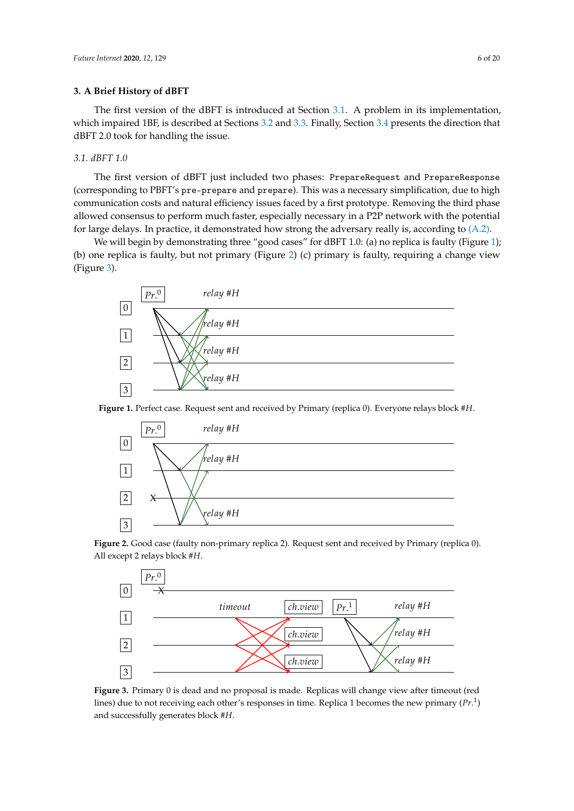## <span id="page-5-0"></span>**3. A Brief History of dBFT**

The first version of the dBFT is introduced at Section [3.1.](#page-5-1) A problem in its implementation, which impaired 1BF, is described at Sections [3.2](#page-6-0) and [3.3.](#page-7-0) Finally, Section [3.4](#page-7-1) presents the direction that dBFT 2.0 took for handling the issue.

#### <span id="page-5-1"></span>*3.1. dBFT 1.0*

The first version of dBFT just included two phases: PrepareRequest and PrepareResponse (corresponding to PBFT's pre-prepare and prepare). This was a necessary simplification, due to high communication costs and natural efficiency issues faced by a first prototype. Removing the third phase allowed consensus to perform much faster, especially necessary in a P2P network with the potential for large delays. In practice, it demonstrated how strong the adversary really is, according to [\(A.2\).](#page-4-3)

We will begin by demonstrating three "good cases" for dBFT 1.0: (a) no replica is faulty (Figure [1\)](#page-5-2); (b) one replica is faulty, but not primary (Figure [2\)](#page-5-3) (c) primary is faulty, requiring a change view (Figure [3\)](#page-5-4).

<span id="page-5-2"></span>

<span id="page-5-3"></span>**Figure 1.** Perfect case. Request sent and received by Primary (replica 0). Everyone relays block #*H*.



<span id="page-5-4"></span>**Figure 2.** Good case (faulty non-primary replica 2). Request sent and received by Primary (replica 0). All except 2 relays block #*H*.



**Figure 3.** Primary 0 is dead and no proposal is made. Replicas will change view after timeout (red lines) due to not receiving each other's responses in time. Replica 1 becomes the new primary (*Pr*. 1 ) and successfully generates block #*H*.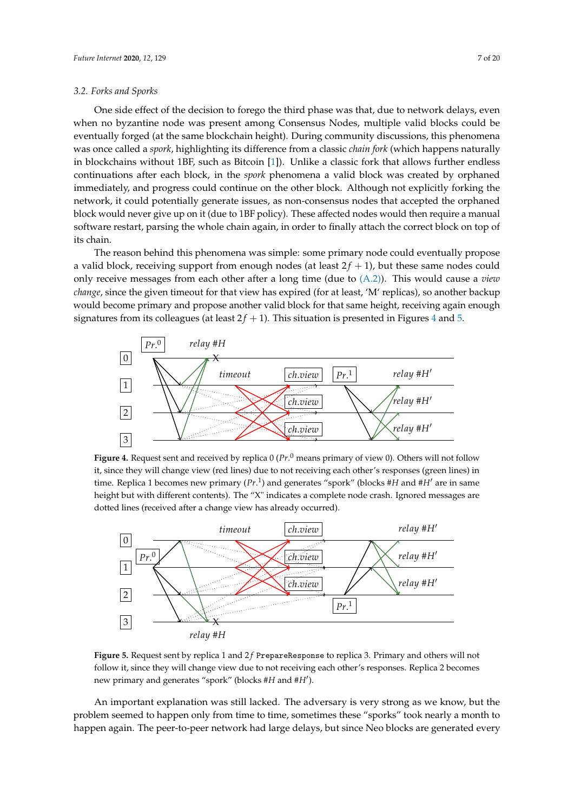#### <span id="page-6-0"></span>*3.2. Forks and Sporks*

One side effect of the decision to forego the third phase was that, due to network delays, even when no byzantine node was present among Consensus Nodes, multiple valid blocks could be eventually forged (at the same blockchain height). During community discussions, this phenomena was once called a *spork*, highlighting its difference from a classic *chain fork* (which happens naturally in blockchains without 1BF, such as Bitcoin [\[1\]](#page-18-0)). Unlike a classic fork that allows further endless continuations after each block, in the *spork* phenomena a valid block was created by orphaned immediately, and progress could continue on the other block. Although not explicitly forking the network, it could potentially generate issues, as non-consensus nodes that accepted the orphaned block would never give up on it (due to 1BF policy). These affected nodes would then require a manual software restart, parsing the whole chain again, in order to finally attach the correct block on top of its chain.

The reason behind this phenomena was simple: some primary node could eventually propose a valid block, receiving support from enough nodes (at least  $2f + 1$ ), but these same nodes could only receive messages from each other after a long time (due to [\(A.2\)\)](#page-4-3). This would cause a *view change*, since the given timeout for that view has expired (for at least, 'M' replicas), so another backup would become primary and propose another valid block for that same height, receiving again enough signatures from its colleagues (at least  $2f + 1$ ). This situation is presented in Figures [4](#page-6-1) and [5.](#page-6-2)

<span id="page-6-1"></span>

**Figure 4.** Request sent and received by replica 0 (*Pr*. <sup>0</sup> means primary of view 0). Others will not follow it, since they will change view (red lines) due to not receiving each other's responses (green lines) in time. Replica 1 becomes new primary (Pr.<sup>1</sup>) and generates "spork" (blocks #H and #H<sup>1</sup> are in same height but with different contents). The "X" indicates a complete node crash. Ignored messages are dotted lines (received after a change view has already occurred).

<span id="page-6-2"></span>

**Figure 5.** Request sent by replica 1 and 2f PrepareResponse to replica 3. Primary and others will not follow it, since they will change view due to not receiving each other's responses. Replica 2 becomes new primary and generates "spork" (blocks #H and #H').

An important explanation was still lacked. The adversary is very strong as we know, but the problem seemed to happen only from time to time, sometimes these "sporks" took nearly a month to happen again. The peer-to-peer network had large delays, but since Neo blocks are generated every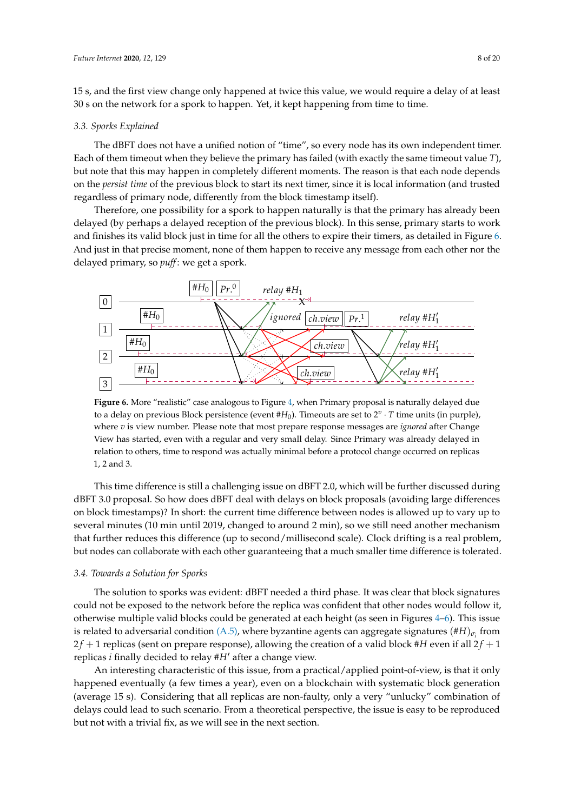15 s, and the first view change only happened at twice this value, we would require a delay of at least 30 s on the network for a spork to happen. Yet, it kept happening from time to time.

#### <span id="page-7-0"></span>*3.3. Sporks Explained*

The dBFT does not have a unified notion of "time", so every node has its own independent timer. Each of them timeout when they believe the primary has failed (with exactly the same timeout value *T*), but note that this may happen in completely different moments. The reason is that each node depends on the *persist time* of the previous block to start its next timer, since it is local information (and trusted regardless of primary node, differently from the block timestamp itself).

Therefore, one possibility for a spork to happen naturally is that the primary has already been delayed (by perhaps a delayed reception of the previous block). In this sense, primary starts to work and finishes its valid block just in time for all the others to expire their timers, as detailed in Figure [6.](#page-7-2) And just in that precise moment, none of them happen to receive any message from each other nor the delayed primary, so *puff*: we get a spork.

<span id="page-7-2"></span>

**Figure 6.** More "realistic" case analogous to Figure [4,](#page-6-1) when Primary proposal is naturally delayed due to a delay on previous Block persistence (event  $#H_0$ ). Timeouts are set to  $2^v \cdot T$  time units (in purple), where *v* is view number. Please note that most prepare response messages are *ignored* after Change View has started, even with a regular and very small delay. Since Primary was already delayed in relation to others, time to respond was actually minimal before a protocol change occurred on replicas 1, 2 and 3.

This time difference is still a challenging issue on dBFT 2.0, which will be further discussed during dBFT 3.0 proposal. So how does dBFT deal with delays on block proposals (avoiding large differences on block timestamps)? In short: the current time difference between nodes is allowed up to vary up to several minutes (10 min until 2019, changed to around 2 min), so we still need another mechanism that further reduces this difference (up to second/millisecond scale). Clock drifting is a real problem, but nodes can collaborate with each other guaranteeing that a much smaller time difference is tolerated.

## <span id="page-7-1"></span>*3.4. Towards a Solution for Sporks*

The solution to sporks was evident: dBFT needed a third phase. It was clear that block signatures could not be exposed to the network before the replica was confident that other nodes would follow it, otherwise multiple valid blocks could be generated at each height (as seen in Figures [4](#page-6-1)[–6\)](#page-7-2). This issue is related to adversarial condition [\(A.5\),](#page-4-4) where byzantine agents can aggregate signatures  $(\#H)_{\sigma_i}$  from  $2f + 1$  replicas (sent on prepare response), allowing the creation of a valid block #*H* even if all  $2f + 1$ replicas *i* finally decided to relay #H' after a change view.

An interesting characteristic of this issue, from a practical/applied point-of-view, is that it only happened eventually (a few times a year), even on a blockchain with systematic block generation (average 15 s). Considering that all replicas are non-faulty, only a very "unlucky" combination of delays could lead to such scenario. From a theoretical perspective, the issue is easy to be reproduced but not with a trivial fix, as we will see in the next section.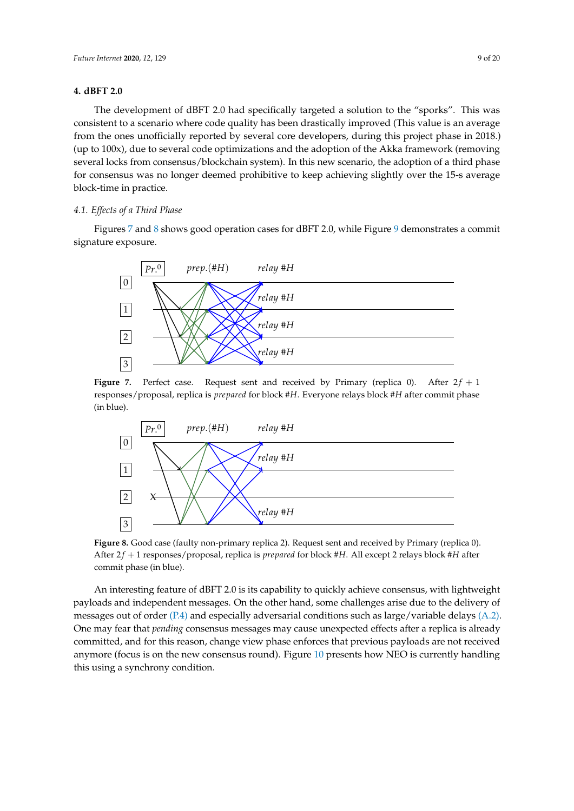## <span id="page-8-0"></span>**4. dBFT 2.0**

The development of dBFT 2.0 had specifically targeted a solution to the "sporks". This was consistent to a scenario where code quality has been drastically improved (This value is an average from the ones unofficially reported by several core developers, during this project phase in 2018.) (up to 100x), due to several code optimizations and the adoption of the Akka framework (removing several locks from consensus/blockchain system). In this new scenario, the adoption of a third phase for consensus was no longer deemed prohibitive to keep achieving slightly over the 15-s average block-time in practice.

#### *4.1. Effects of a Third Phase*

<span id="page-8-1"></span>Figures [7](#page-8-1) and [8](#page-8-2) shows good operation cases for dBFT 2.0, while Figure [9](#page-9-0) demonstrates a commit signature exposure.



**Figure 7.** Perfect case. Request sent and received by Primary (replica 0). After  $2f + 1$ responses/proposal, replica is *prepared* for block #*H*. Everyone relays block #*H* after commit phase (in blue).

<span id="page-8-2"></span>

**Figure 8.** Good case (faulty non-primary replica 2). Request sent and received by Primary (replica 0). After 2 *f* + 1 responses/proposal, replica is *prepared* for block #*H*. All except 2 relays block #*H* after commit phase (in blue).

An interesting feature of dBFT 2.0 is its capability to quickly achieve consensus, with lightweight payloads and independent messages. On the other hand, some challenges arise due to the delivery of messages out of order [\(P.4\)](#page-2-5) and especially adversarial conditions such as large/variable delays [\(A.2\).](#page-4-3) One may fear that *pending* consensus messages may cause unexpected effects after a replica is already committed, and for this reason, change view phase enforces that previous payloads are not received anymore (focus is on the new consensus round). Figure [10](#page-9-1) presents how NEO is currently handling this using a synchrony condition.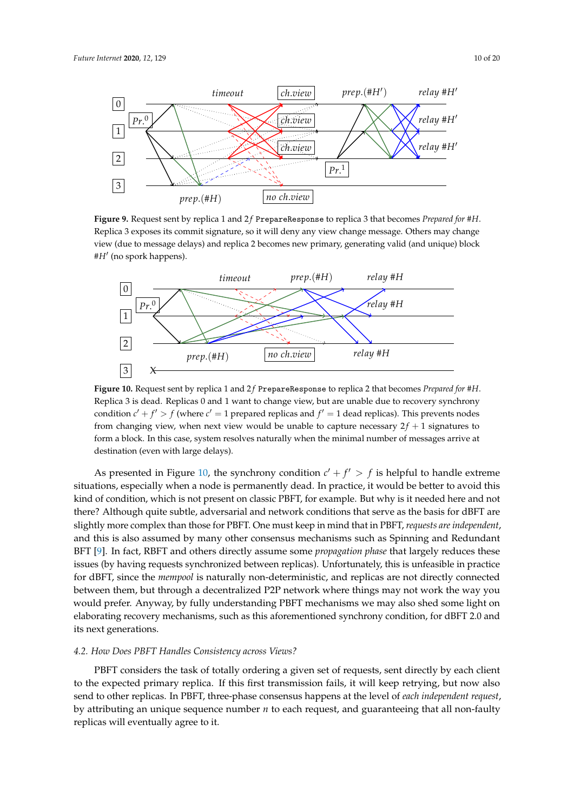<span id="page-9-0"></span>

Figure 9. Request sent by replica 1 and 2f PrepareResponse to replica 3 that becomes *Prepared for* #H. Replica 3 exposes its commit signature, so it will deny any view change message. Others may change view (due to message delays) and replica 2 becomes new primary, generating valid (and unique) block #H' (no spork happens).

<span id="page-9-1"></span>

**Figure 10.** Request sent by replica 1 and 2 *f* PrepareResponse to replica 2 that becomes *Prepared for* #*H*. Replica 3 is dead. Replicas 0 and 1 want to change view, but are unable due to recovery synchrony condition  $c' + f' > f$  (where  $c' = 1$  prepared replicas and  $f' = 1$  dead replicas). This prevents nodes from changing view, when next view would be unable to capture necessary  $2f + 1$  signatures to form a block. In this case, system resolves naturally when the minimal number of messages arrive at destination (even with large delays).

As presented in Figure [10,](#page-9-1) the synchrony condition  $c' + f' > f$  is helpful to handle extreme situations, especially when a node is permanently dead. In practice, it would be better to avoid this kind of condition, which is not present on classic PBFT, for example. But why is it needed here and not there? Although quite subtle, adversarial and network conditions that serve as the basis for dBFT are slightly more complex than those for PBFT. One must keep in mind that in PBFT, *requests are independent*, and this is also assumed by many other consensus mechanisms such as Spinning and Redundant BFT [\[9\]](#page-19-0). In fact, RBFT and others directly assume some *propagation phase* that largely reduces these issues (by having requests synchronized between replicas). Unfortunately, this is unfeasible in practice for dBFT, since the *mempool* is naturally non-deterministic, and replicas are not directly connected between them, but through a decentralized P2P network where things may not work the way you would prefer. Anyway, by fully understanding PBFT mechanisms we may also shed some light on elaborating recovery mechanisms, such as this aforementioned synchrony condition, for dBFT 2.0 and its next generations.

#### *4.2. How Does PBFT Handles Consistency across Views?*

PBFT considers the task of totally ordering a given set of requests, sent directly by each client to the expected primary replica. If this first transmission fails, it will keep retrying, but now also send to other replicas. In PBFT, three-phase consensus happens at the level of *each independent request*, by attributing an unique sequence number *n* to each request, and guaranteeing that all non-faulty replicas will eventually agree to it.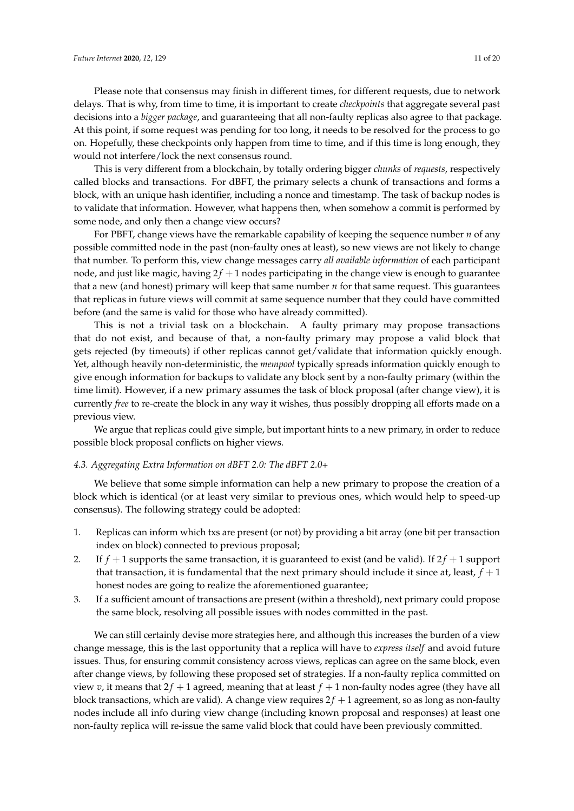This is very different from a blockchain, by totally ordering bigger *chunks* of *requests*, respectively called blocks and transactions. For dBFT, the primary selects a chunk of transactions and forms a block, with an unique hash identifier, including a nonce and timestamp. The task of backup nodes is to validate that information. However, what happens then, when somehow a commit is performed by some node, and only then a change view occurs?

For PBFT, change views have the remarkable capability of keeping the sequence number *n* of any possible committed node in the past (non-faulty ones at least), so new views are not likely to change that number. To perform this, view change messages carry *all available information* of each participant node, and just like magic, having  $2f + 1$  nodes participating in the change view is enough to guarantee that a new (and honest) primary will keep that same number *n* for that same request. This guarantees that replicas in future views will commit at same sequence number that they could have committed before (and the same is valid for those who have already committed).

This is not a trivial task on a blockchain. A faulty primary may propose transactions that do not exist, and because of that, a non-faulty primary may propose a valid block that gets rejected (by timeouts) if other replicas cannot get/validate that information quickly enough. Yet, although heavily non-deterministic, the *mempool* typically spreads information quickly enough to give enough information for backups to validate any block sent by a non-faulty primary (within the time limit). However, if a new primary assumes the task of block proposal (after change view), it is currently *free* to re-create the block in any way it wishes, thus possibly dropping all efforts made on a previous view.

We argue that replicas could give simple, but important hints to a new primary, in order to reduce possible block proposal conflicts on higher views.

## *4.3. Aggregating Extra Information on dBFT 2.0: The dBFT 2.0+*

We believe that some simple information can help a new primary to propose the creation of a block which is identical (or at least very similar to previous ones, which would help to speed-up consensus). The following strategy could be adopted:

- 1. Replicas can inform which txs are present (or not) by providing a bit array (one bit per transaction index on block) connected to previous proposal;
- 2. If  $f + 1$  supports the same transaction, it is guaranteed to exist (and be valid). If  $2f + 1$  support that transaction, it is fundamental that the next primary should include it since at, least,  $f + 1$ honest nodes are going to realize the aforementioned guarantee;
- 3. If a sufficient amount of transactions are present (within a threshold), next primary could propose the same block, resolving all possible issues with nodes committed in the past.

We can still certainly devise more strategies here, and although this increases the burden of a view change message, this is the last opportunity that a replica will have to *express itself* and avoid future issues. Thus, for ensuring commit consistency across views, replicas can agree on the same block, even after change views, by following these proposed set of strategies. If a non-faulty replica committed on view *v*, it means that  $2f + 1$  agreed, meaning that at least  $f + 1$  non-faulty nodes agree (they have all block transactions, which are valid). A change view requires  $2f + 1$  agreement, so as long as non-faulty nodes include all info during view change (including known proposal and responses) at least one non-faulty replica will re-issue the same valid block that could have been previously committed.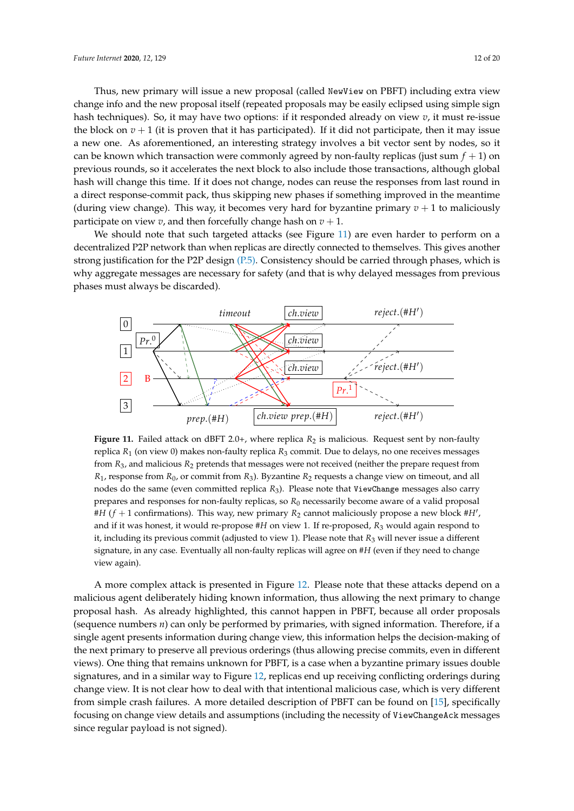Thus, new primary will issue a new proposal (called NewView on PBFT) including extra view change info and the new proposal itself (repeated proposals may be easily eclipsed using simple sign hash techniques). So, it may have two options: if it responded already on view *v*, it must re-issue the block on  $v + 1$  (it is proven that it has participated). If it did not participate, then it may issue a new one. As aforementioned, an interesting strategy involves a bit vector sent by nodes, so it can be known which transaction were commonly agreed by non-faulty replicas (just sum  $f + 1$ ) on previous rounds, so it accelerates the next block to also include those transactions, although global hash will change this time. If it does not change, nodes can reuse the responses from last round in a direct response-commit pack, thus skipping new phases if something improved in the meantime (during view change). This way, it becomes very hard for byzantine primary  $v + 1$  to maliciously participate on view *v*, and then forcefully change hash on  $v + 1$ .

We should note that such targeted attacks (see Figure [11\)](#page-11-0) are even harder to perform on a decentralized P2P network than when replicas are directly connected to themselves. This gives another strong justification for the P2P design [\(P.5\).](#page-2-1) Consistency should be carried through phases, which is why aggregate messages are necessary for safety (and that is why delayed messages from previous phases must always be discarded).

<span id="page-11-0"></span>

**Figure 11.** Failed attack on dBFT 2.0+, where replica  $R_2$  is malicious. Request sent by non-faulty replica *R*<sup>1</sup> (on view 0) makes non-faulty replica *R*<sup>3</sup> commit. Due to delays, no one receives messages from *R*3, and malicious *R*<sup>2</sup> pretends that messages were not received (neither the prepare request from  $R_1$ , response from  $R_0$ , or commit from  $R_3$ ). Byzantine  $R_2$  requests a change view on timeout, and all nodes do the same (even committed replica *R*3). Please note that ViewChange messages also carry prepares and responses for non-faulty replicas, so  $R_0$  necessarily become aware of a valid proposal  $#H$  ( $f + 1$  confirmations). This way, new primary  $R_2$  cannot maliciously propose a new block  $#H'$ , and if it was honest, it would re-propose #*H* on view 1. If re-proposed, *R*<sup>3</sup> would again respond to it, including its previous commit (adjusted to view 1). Please note that *R*<sub>3</sub> will never issue a different signature, in any case. Eventually all non-faulty replicas will agree on #*H* (even if they need to change view again).

A more complex attack is presented in Figure [12.](#page-12-1) Please note that these attacks depend on a malicious agent deliberately hiding known information, thus allowing the next primary to change proposal hash. As already highlighted, this cannot happen in PBFT, because all order proposals (sequence numbers *n*) can only be performed by primaries, with signed information. Therefore, if a single agent presents information during change view, this information helps the decision-making of the next primary to preserve all previous orderings (thus allowing precise commits, even in different views). One thing that remains unknown for PBFT, is a case when a byzantine primary issues double signatures, and in a similar way to Figure [12,](#page-12-1) replicas end up receiving conflicting orderings during change view. It is not clear how to deal with that intentional malicious case, which is very different from simple crash failures. A more detailed description of PBFT can be found on [\[15\]](#page-19-6), specifically focusing on change view details and assumptions (including the necessity of ViewChangeAck messages since regular payload is not signed).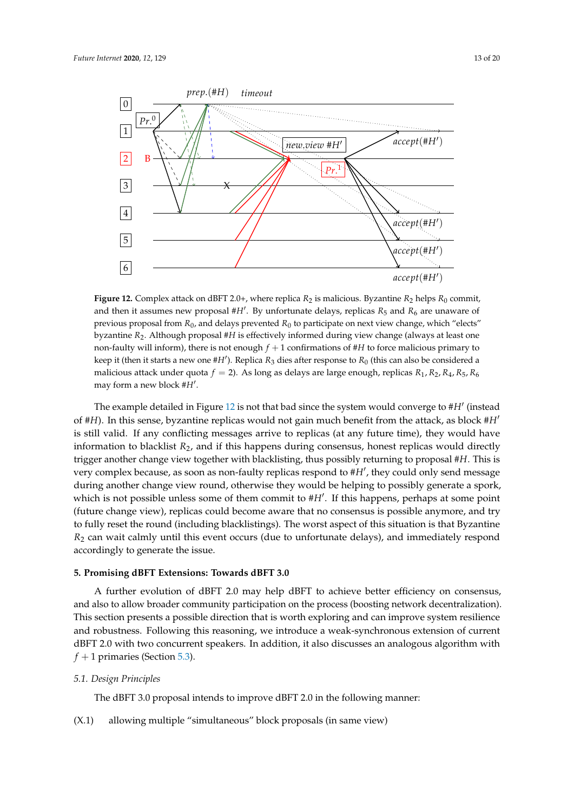<span id="page-12-1"></span>

**Figure 12.** Complex attack on dBFT 2.0+, where replica  $R_2$  is malicious. Byzantine  $R_2$  helps  $R_0$  commit, and then it assumes new proposal  $#H'$ . By unfortunate delays, replicas  $R_5$  and  $R_6$  are unaware of previous proposal from *R*0, and delays prevented *R*<sup>0</sup> to participate on next view change, which "elects" byzantine *R*2. Although proposal #*H* is effectively informed during view change (always at least one non-faulty will inform), there is not enough *f* + 1 confirmations of #*H* to force malicious primary to keep it (then it starts a new one  $#H'$ ). Replica  $R_3$  dies after response to  $R_0$  (this can also be considered a malicious attack under quota  $f = 2$ ). As long as delays are large enough, replicas  $R_1$ ,  $R_2$ ,  $R_4$ ,  $R_5$ ,  $R_6$ may form a new block #H'.

The example detailed in Figure [12](#page-12-1) is not that bad since the system would converge to #H' (instead of #*H*). In this sense, byzantine replicas would not gain much benefit from the attack, as block #*H*<sup>0</sup> is still valid. If any conflicting messages arrive to replicas (at any future time), they would have information to blacklist *R*2, and if this happens during consensus, honest replicas would directly trigger another change view together with blacklisting, thus possibly returning to proposal #*H*. This is very complex because, as soon as non-faulty replicas respond to #H', they could only send message during another change view round, otherwise they would be helping to possibly generate a spork, which is not possible unless some of them commit to #H'. If this happens, perhaps at some point (future change view), replicas could become aware that no consensus is possible anymore, and try to fully reset the round (including blacklistings). The worst aspect of this situation is that Byzantine *R*<sup>2</sup> can wait calmly until this event occurs (due to unfortunate delays), and immediately respond accordingly to generate the issue.

## <span id="page-12-0"></span>**5. Promising dBFT Extensions: Towards dBFT 3.0**

A further evolution of dBFT 2.0 may help dBFT to achieve better efficiency on consensus, and also to allow broader community participation on the process (boosting network decentralization). This section presents a possible direction that is worth exploring and can improve system resilience and robustness. Following this reasoning, we introduce a weak-synchronous extension of current dBFT 2.0 with two concurrent speakers. In addition, it also discusses an analogous algorithm with  $f + 1$  primaries (Section [5.3\)](#page-16-0).

# *5.1. Design Principles*

The dBFT 3.0 proposal intends to improve dBFT 2.0 in the following manner:

<span id="page-12-2"></span>(X.1) allowing multiple "simultaneous" block proposals (in same view)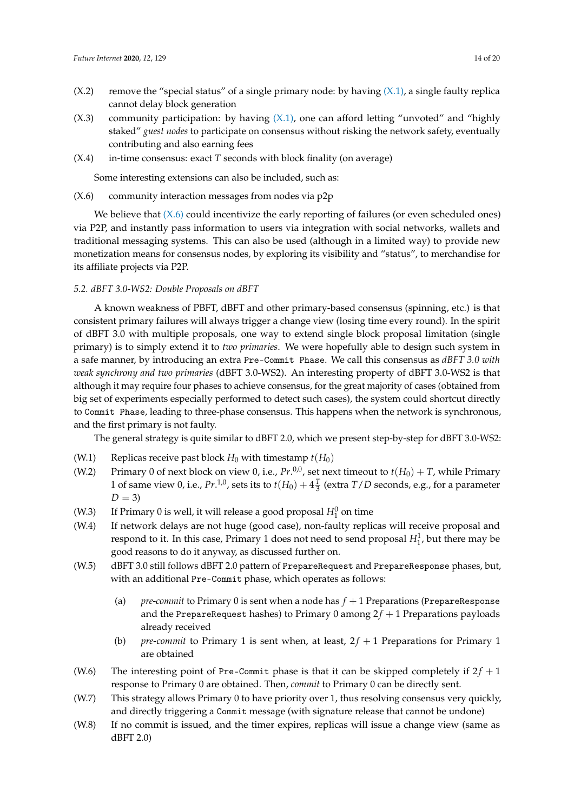- $(X.2)$  remove the "special status" of a single primary node: by having  $(X.1)$ , a single faulty replica cannot delay block generation
- $(X.3)$  community participation: by having  $(X.1)$ , one can afford letting "unvoted" and "highly staked" *guest nodes* to participate on consensus without risking the network safety, eventually contributing and also earning fees
- (X.4) in-time consensus: exact *T* seconds with block finality (on average)

Some interesting extensions can also be included, such as:

<span id="page-13-0"></span>(X.6) community interaction messages from nodes via p2p

We believe that  $(X.6)$  could incentivize the early reporting of failures (or even scheduled ones) via P2P, and instantly pass information to users via integration with social networks, wallets and traditional messaging systems. This can also be used (although in a limited way) to provide new monetization means for consensus nodes, by exploring its visibility and "status", to merchandise for its affiliate projects via P2P.

## *5.2. dBFT 3.0-WS2: Double Proposals on dBFT*

A known weakness of PBFT, dBFT and other primary-based consensus (spinning, etc.) is that consistent primary failures will always trigger a change view (losing time every round). In the spirit of dBFT 3.0 with multiple proposals, one way to extend single block proposal limitation (single primary) is to simply extend it to *two primaries*. We were hopefully able to design such system in a safe manner, by introducing an extra Pre-Commit Phase. We call this consensus as *dBFT 3.0 with weak synchrony and two primaries* (dBFT 3.0-WS2). An interesting property of dBFT 3.0-WS2 is that although it may require four phases to achieve consensus, for the great majority of cases (obtained from big set of experiments especially performed to detect such cases), the system could shortcut directly to Commit Phase, leading to three-phase consensus. This happens when the network is synchronous, and the first primary is not faulty.

The general strategy is quite similar to dBFT 2.0, which we present step-by-step for dBFT 3.0-WS2:

- (W.1) Replicas receive past block  $H_0$  with timestamp  $t(H_0)$
- (W.2) Primary 0 of next block on view 0, i.e.,  $Pr^{0,0}$ , set next timeout to  $t(H_0) + T$ , while Primary 1 of same view 0, i.e.,  $Pr^{1,0}$ , sets its to  $t(H_0) + 4\frac{T}{3}$  (extra  $T/D$  seconds, e.g., for a parameter  $D = 3$ )
- (W.3) If Primary 0 is well, it will release a good proposal  $H_1^0$  on time
- (W.4) If network delays are not huge (good case), non-faulty replicas will receive proposal and respond to it. In this case, Primary 1 does not need to send proposal  $H_1^1$ , but there may be good reasons to do it anyway, as discussed further on.
- (W.5) dBFT 3.0 still follows dBFT 2.0 pattern of PrepareRequest and PrepareResponse phases, but, with an additional Pre-Commit phase, which operates as follows:
	- (a) *pre-commit* to Primary 0 is sent when a node has  $f + 1$  Preparations (PrepareResponse and the PrepareRequest hashes) to Primary 0 among  $2f + 1$  Preparations payloads already received
	- (b) *pre-commit* to Primary 1 is sent when, at least,  $2f + 1$  Preparations for Primary 1 are obtained
- (W.6) The interesting point of Pre-Commit phase is that it can be skipped completely if  $2f + 1$ response to Primary 0 are obtained. Then, *commit* to Primary 0 can be directly sent.
- (W.7) This strategy allows Primary 0 to have priority over 1, thus resolving consensus very quickly, and directly triggering a Commit message (with signature release that cannot be undone)
- (W.8) If no commit is issued, and the timer expires, replicas will issue a change view (same as dBFT 2.0)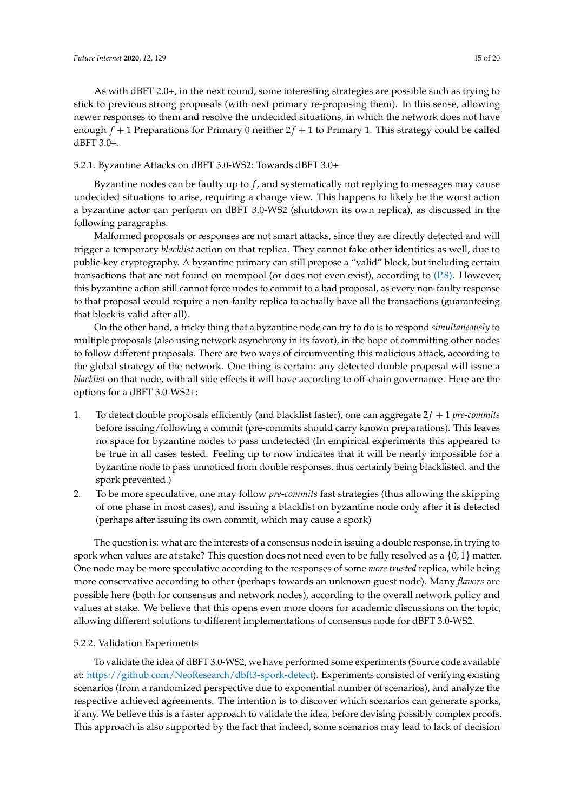dBFT 3.0+.

As with dBFT 2.0+, in the next round, some interesting strategies are possible such as trying to stick to previous strong proposals (with next primary re-proposing them). In this sense, allowing newer responses to them and resolve the undecided situations, in which the network does not have enough  $f + 1$  Preparations for Primary 0 neither  $2f + 1$  to Primary 1. This strategy could be called

## 5.2.1. Byzantine Attacks on dBFT 3.0-WS2: Towards dBFT 3.0+

Byzantine nodes can be faulty up to *f* , and systematically not replying to messages may cause undecided situations to arise, requiring a change view. This happens to likely be the worst action a byzantine actor can perform on dBFT 3.0-WS2 (shutdown its own replica), as discussed in the following paragraphs.

Malformed proposals or responses are not smart attacks, since they are directly detected and will trigger a temporary *blacklist* action on that replica. They cannot fake other identities as well, due to public-key cryptography. A byzantine primary can still propose a "valid" block, but including certain transactions that are not found on mempool (or does not even exist), according to [\(P.8\).](#page-3-1) However, this byzantine action still cannot force nodes to commit to a bad proposal, as every non-faulty response to that proposal would require a non-faulty replica to actually have all the transactions (guaranteeing that block is valid after all).

On the other hand, a tricky thing that a byzantine node can try to do is to respond *simultaneously* to multiple proposals (also using network asynchrony in its favor), in the hope of committing other nodes to follow different proposals. There are two ways of circumventing this malicious attack, according to the global strategy of the network. One thing is certain: any detected double proposal will issue a *blacklist* on that node, with all side effects it will have according to off-chain governance. Here are the options for a dBFT 3.0-WS2+:

- 1. To detect double proposals efficiently (and blacklist faster), one can aggregate 2 *f* + 1 *pre-commits* before issuing/following a commit (pre-commits should carry known preparations). This leaves no space for byzantine nodes to pass undetected (In empirical experiments this appeared to be true in all cases tested. Feeling up to now indicates that it will be nearly impossible for a byzantine node to pass unnoticed from double responses, thus certainly being blacklisted, and the spork prevented.)
- 2. To be more speculative, one may follow *pre-commits* fast strategies (thus allowing the skipping of one phase in most cases), and issuing a blacklist on byzantine node only after it is detected (perhaps after issuing its own commit, which may cause a spork)

The question is: what are the interests of a consensus node in issuing a double response, in trying to spork when values are at stake? This question does not need even to be fully resolved as a  $\{0, 1\}$  matter. One node may be more speculative according to the responses of some *more trusted* replica, while being more conservative according to other (perhaps towards an unknown guest node). Many *flavors* are possible here (both for consensus and network nodes), according to the overall network policy and values at stake. We believe that this opens even more doors for academic discussions on the topic, allowing different solutions to different implementations of consensus node for dBFT 3.0-WS2.

## 5.2.2. Validation Experiments

To validate the idea of dBFT 3.0-WS2, we have performed some experiments (Source code available at: [https://github.com/NeoResearch/dbft3-spork-detect\)](https://github.com/NeoResearch/dbft3-spork-detect). Experiments consisted of verifying existing scenarios (from a randomized perspective due to exponential number of scenarios), and analyze the respective achieved agreements. The intention is to discover which scenarios can generate sporks, if any. We believe this is a faster approach to validate the idea, before devising possibly complex proofs. This approach is also supported by the fact that indeed, some scenarios may lead to lack of decision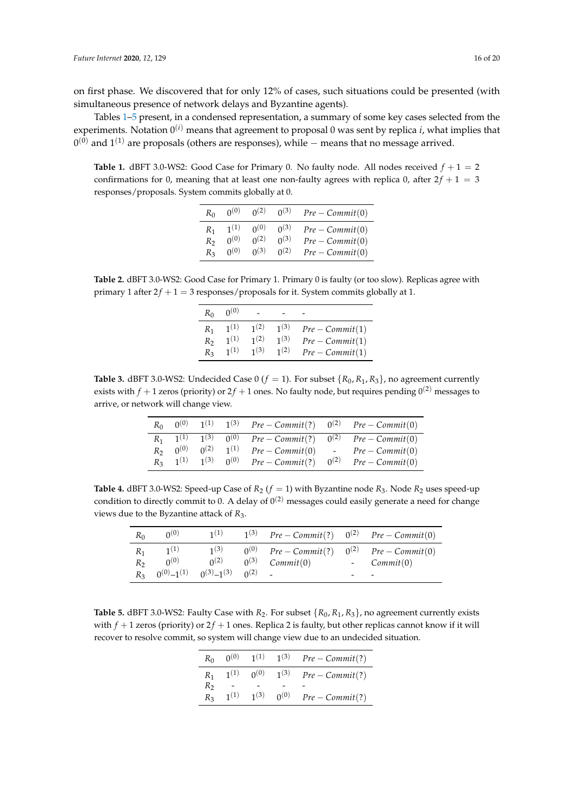on first phase. We discovered that for only 12% of cases, such situations could be presented (with simultaneous presence of network delays and Byzantine agents).

Tables [1](#page-15-0)[–5](#page-15-1) present, in a condensed representation, a summary of some key cases selected from the experiments. Notation 0 (*i*) means that agreement to proposal 0 was sent by replica *i*, what implies that  $0^{(0)}$  and  $1^{(1)}$  are proposals (others are responses), while  $-$  means that no message arrived.

<span id="page-15-0"></span>**Table 1.** dBFT 3.0-WS2: Good Case for Primary 0. No faulty node. All nodes received  $f + 1 = 2$ confirmations for 0, meaning that at least one non-faulty agrees with replica 0, after  $2f + 1 = 3$ responses/proposals. System commits globally at 0.

| $R_0$   | $0^{(0)}$        | (2)            | (3) | $Pre-Commit(0)$ |
|---------|------------------|----------------|-----|-----------------|
| $R_1$   | 1 <sup>(1)</sup> | $\Omega^{(0)}$ | (3) | $Pre-Commit(0)$ |
| $R_{2}$ | $\Omega^{(0)}$   | (2)            | (3) | $Pre-Commit(0)$ |
| $R_3$   | $\Omega^{(0)}$   | (3)            | (2) | $Pre-Commit(0)$ |

**Table 2.** dBFT 3.0-WS2: Good Case for Primary 1. Primary 0 is faulty (or too slow). Replicas agree with primary 1 after  $2f + 1 = 3$  responses/proposals for it. System commits globally at 1.

| $R_0$ | $0^{(0)}$ |      |      |                 |
|-------|-----------|------|------|-----------------|
| $R_1$ | 1(1)      | 1(2) | 1(3) | $Pre-Commit(1)$ |
| R۰    | 1(1)      | 1(2) | 1(3) | $Pre-Commit(1)$ |
| R2    | 1(1)      | 1(3) | 1(2) | $Pre-Commit(1)$ |

**Table 3.** dBFT 3.0-WS2: Undecided Case  $0$  ( $f = 1$ ). For subset  $\{R_0, R_1, R_3\}$ , no agreement currently exists with  $f + 1$  zeros (priority) or  $2f + 1$  ones. No faulty node, but requires pending  $0^{(2)}$  messages to arrive, or network will change view.

|  |                                                          | $R_0$ 0 <sup>(0)</sup> 1 <sup>(1)</sup> 1 <sup>(3)</sup> $Pre-Commit(?)$ 0 <sup>(2)</sup> $Pre-Commit(0)$ |  |
|--|----------------------------------------------------------|-----------------------------------------------------------------------------------------------------------|--|
|  |                                                          | $R_1$ 1 <sup>(1)</sup> 1 <sup>(3)</sup> 0 <sup>(0)</sup> Pre – Commit(?) 0 <sup>(2)</sup> Pre – Commit(0) |  |
|  | $R_2$ $0^{(0)}$ $0^{(2)}$ $1^{(1)}$                      | $Pre-Commit(0)$ - $Pre-Commit(0)$                                                                         |  |
|  | $R_3$ 1 <sup>(1)</sup> 1 <sup>(3)</sup> 0 <sup>(0)</sup> | $Pre-Commit(?)$ $0^{(2)}$ $Pre-Commit(0)$                                                                 |  |

**Table 4.** dBFT 3.0-WS2: Speed-up Case of  $R_2$  ( $f = 1$ ) with Byzantine node  $R_3$ . Node  $R_2$  uses speed-up condition to directly commit to 0. A delay of  $0^{(2)}$  messages could easily generate a need for change views due to the Byzantine attack of *R*3.

| $0^{(0)}$<br>1(1)<br>$1^{(3)}$ Pre – Commit(?) $0^{(2)}$ Pre – Commit(0)<br>$R_0$                                                                                                                                                           |  |
|---------------------------------------------------------------------------------------------------------------------------------------------------------------------------------------------------------------------------------------------|--|
| $1^{(3)}$<br>1 <sup>(1)</sup><br>$0^{(0)}$ Pre – Commit(?) $0^{(2)}$ Pre – Commit(0)<br>$R_1$<br>$0^{(2)}$<br>$0^{(3)}$ Commit(0)<br>$0^{(0)}$<br>$R_{2}$<br>$\sim$ Commit(0)<br>$0^{(0)}-1^{(1)}$ $0^{(3)}-1^{(3)}$ $0^{(2)}$ -<br>$R_{3}$ |  |

<span id="page-15-1"></span>**Table 5.** dBFT 3.0-WS2: Faulty Case with  $R_2$ . For subset  $\{R_0, R_1, R_3\}$ , no agreement currently exists with  $f + 1$  zeros (priority) or  $2f + 1$  ones. Replica 2 is faulty, but other replicas cannot know if it will recover to resolve commit, so system will change view due to an undecided situation.

| $R_0$   | $0^{(0)}$ $1^{(1)}$ $1^{(3)}$ |                  | $Pre-Commit(?)$ |
|---------|-------------------------------|------------------|-----------------|
| $R_{1}$ | $1^{(1)}$ $0^{(0)}$           | 1 <sup>(3)</sup> | $Pre-Commit(?)$ |
| R2      |                               |                  |                 |
| $R_{2}$ | $1^{(1)}$ $1^{(3)}$           | $0^{(0)}$        | $Pre-Commit(?)$ |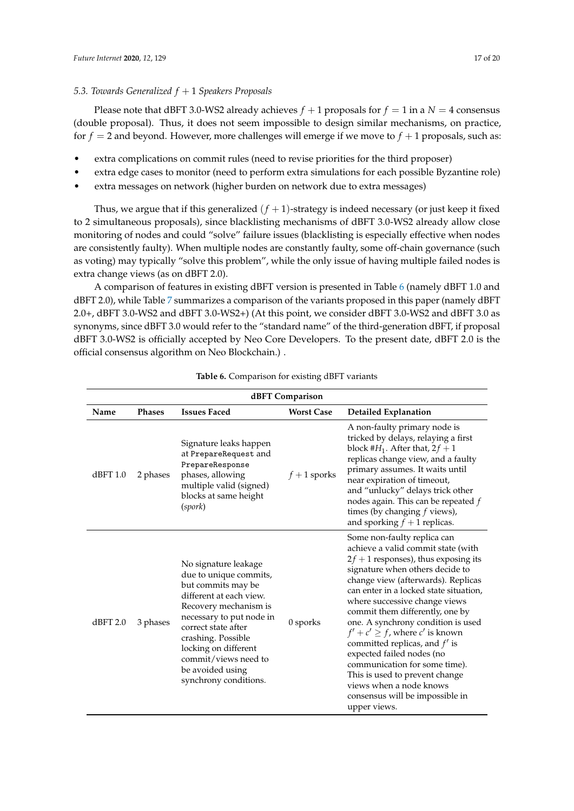## <span id="page-16-0"></span>*5.3. Towards Generalized f* + 1 *Speakers Proposals*

Please note that dBFT 3.0-WS2 already achieves  $f + 1$  proposals for  $f = 1$  in a  $N = 4$  consensus (double proposal). Thus, it does not seem impossible to design similar mechanisms, on practice, for  $f = 2$  and beyond. However, more challenges will emerge if we move to  $f + 1$  proposals, such as:

- extra complications on commit rules (need to revise priorities for the third proposer)
- extra edge cases to monitor (need to perform extra simulations for each possible Byzantine role)
- extra messages on network (higher burden on network due to extra messages)

Thus, we argue that if this generalized  $(f + 1)$ -strategy is indeed necessary (or just keep it fixed to 2 simultaneous proposals), since blacklisting mechanisms of dBFT 3.0-WS2 already allow close monitoring of nodes and could "solve" failure issues (blacklisting is especially effective when nodes are consistently faulty). When multiple nodes are constantly faulty, some off-chain governance (such as voting) may typically "solve this problem", while the only issue of having multiple failed nodes is extra change views (as on dBFT 2.0).

A comparison of features in existing dBFT version is presented in Table [6](#page-16-1) (namely dBFT 1.0 and dBFT 2.0), while Table [7](#page-17-1) summarizes a comparison of the variants proposed in this paper (namely dBFT 2.0+, dBFT 3.0-WS2 and dBFT 3.0-WS2+) (At this point, we consider dBFT 3.0-WS2 and dBFT 3.0 as synonyms, since dBFT 3.0 would refer to the "standard name" of the third-generation dBFT, if proposal dBFT 3.0-WS2 is officially accepted by Neo Core Developers. To the present date, dBFT 2.0 is the official consensus algorithm on Neo Blockchain.) .

<span id="page-16-1"></span>

| dBFT Comparison |               |                                                                                                                                                                                                                                                                                                |                   |                                                                                                                                                                                                                                                                                                                                                                                                                                                                                                                                                                                                   |  |
|-----------------|---------------|------------------------------------------------------------------------------------------------------------------------------------------------------------------------------------------------------------------------------------------------------------------------------------------------|-------------------|---------------------------------------------------------------------------------------------------------------------------------------------------------------------------------------------------------------------------------------------------------------------------------------------------------------------------------------------------------------------------------------------------------------------------------------------------------------------------------------------------------------------------------------------------------------------------------------------------|--|
| Name            | <b>Phases</b> | <b>Issues Faced</b>                                                                                                                                                                                                                                                                            | <b>Worst Case</b> | <b>Detailed Explanation</b>                                                                                                                                                                                                                                                                                                                                                                                                                                                                                                                                                                       |  |
| $d$ BFT $1.0$   | 2 phases      | Signature leaks happen<br>at PrepareRequest and<br>PrepareResponse<br>phases, allowing<br>multiple valid (signed)<br>blocks at same height<br>(spork)                                                                                                                                          | $f + 1$ sporks    | A non-faulty primary node is<br>tricked by delays, relaying a first<br>block # $H_1$ . After that, $2f + 1$<br>replicas change view, and a faulty<br>primary assumes. It waits until<br>near expiration of timeout,<br>and "unlucky" delays trick other<br>nodes again. This can be repeated $f$<br>times (by changing $f$ views),<br>and sporking $f + 1$ replicas.                                                                                                                                                                                                                              |  |
| $d$ BFT 2.0     | 3 phases      | No signature leakage<br>due to unique commits,<br>but commits may be<br>different at each view.<br>Recovery mechanism is<br>necessary to put node in<br>correct state after<br>crashing. Possible<br>locking on different<br>commit/views need to<br>be avoided using<br>synchrony conditions. | 0 sporks          | Some non-faulty replica can<br>achieve a valid commit state (with<br>$2f + 1$ responses), thus exposing its<br>signature when others decide to<br>change view (afterwards). Replicas<br>can enter in a locked state situation,<br>where successive change views<br>commit them differently, one by<br>one. A synchrony condition is used<br>$f' + c' \geq f$ , where c' is known<br>committed replicas, and $f'$ is<br>expected failed nodes (no<br>communication for some time).<br>This is used to prevent change<br>views when a node knows<br>consensus will be impossible in<br>upper views. |  |

**Table 6.** Comparison for existing dBFT variants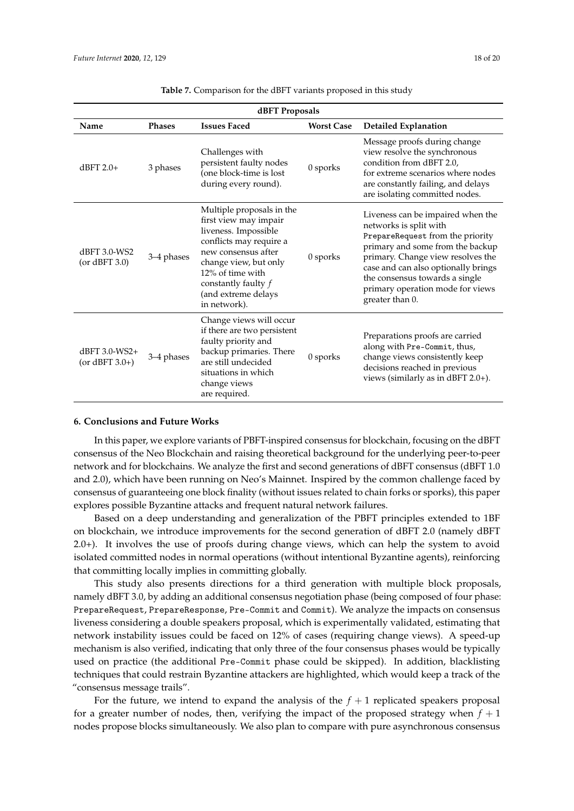<span id="page-17-1"></span>

| <b>dBFT</b> Proposals              |               |                                                                                                                                                                                                                                           |                   |                                                                                                                                                                                                                                                                                                          |
|------------------------------------|---------------|-------------------------------------------------------------------------------------------------------------------------------------------------------------------------------------------------------------------------------------------|-------------------|----------------------------------------------------------------------------------------------------------------------------------------------------------------------------------------------------------------------------------------------------------------------------------------------------------|
| Name                               | <b>Phases</b> | <b>Issues Faced</b>                                                                                                                                                                                                                       | <b>Worst Case</b> | <b>Detailed Explanation</b>                                                                                                                                                                                                                                                                              |
| $d$ BFT 2.0+                       | 3 phases      | Challenges with<br>persistent faulty nodes<br>(one block-time is lost<br>during every round).                                                                                                                                             | 0 sporks          | Message proofs during change<br>view resolve the synchronous<br>condition from dBFT 2.0,<br>for extreme scenarios where nodes<br>are constantly failing, and delays<br>are isolating committed nodes.                                                                                                    |
| dBFT 3.0-WS2<br>(or dBFT $3.0$ )   | 3-4 phases    | Multiple proposals in the<br>first view may impair<br>liveness. Impossible<br>conflicts may require a<br>new consensus after<br>change view, but only<br>12% of time with<br>constantly faulty $f$<br>(and extreme delays<br>in network). | 0 sporks          | Liveness can be impaired when the<br>networks is split with<br>PrepareRequest from the priority<br>primary and some from the backup<br>primary. Change view resolves the<br>case and can also optionally brings<br>the consensus towards a single<br>primary operation mode for views<br>greater than 0. |
| dBFT 3.0-WS2+<br>(or dBFT $3.0+$ ) | 3–4 phases    | Change views will occur<br>if there are two persistent<br>faulty priority and<br>backup primaries. There<br>are still undecided<br>situations in which<br>change views<br>are required.                                                   | 0 sporks          | Preparations proofs are carried<br>along with Pre-Commit, thus,<br>change views consistently keep<br>decisions reached in previous<br>views (similarly as in dBFT 2.0+).                                                                                                                                 |

| Table 7. Comparison for the dBFT variants proposed in this study |  |
|------------------------------------------------------------------|--|
|------------------------------------------------------------------|--|

#### <span id="page-17-0"></span>**6. Conclusions and Future Works**

In this paper, we explore variants of PBFT-inspired consensus for blockchain, focusing on the dBFT consensus of the Neo Blockchain and raising theoretical background for the underlying peer-to-peer network and for blockchains. We analyze the first and second generations of dBFT consensus (dBFT 1.0 and 2.0), which have been running on Neo's Mainnet. Inspired by the common challenge faced by consensus of guaranteeing one block finality (without issues related to chain forks or sporks), this paper explores possible Byzantine attacks and frequent natural network failures.

Based on a deep understanding and generalization of the PBFT principles extended to 1BF on blockchain, we introduce improvements for the second generation of dBFT 2.0 (namely dBFT 2.0+). It involves the use of proofs during change views, which can help the system to avoid isolated committed nodes in normal operations (without intentional Byzantine agents), reinforcing that committing locally implies in committing globally.

This study also presents directions for a third generation with multiple block proposals, namely dBFT 3.0, by adding an additional consensus negotiation phase (being composed of four phase: PrepareRequest, PrepareResponse, Pre-Commit and Commit). We analyze the impacts on consensus liveness considering a double speakers proposal, which is experimentally validated, estimating that network instability issues could be faced on 12% of cases (requiring change views). A speed-up mechanism is also verified, indicating that only three of the four consensus phases would be typically used on practice (the additional Pre-Commit phase could be skipped). In addition, blacklisting techniques that could restrain Byzantine attackers are highlighted, which would keep a track of the "consensus message trails".

For the future, we intend to expand the analysis of the  $f + 1$  replicated speakers proposal for a greater number of nodes, then, verifying the impact of the proposed strategy when  $f + 1$ nodes propose blocks simultaneously. We also plan to compare with pure asynchronous consensus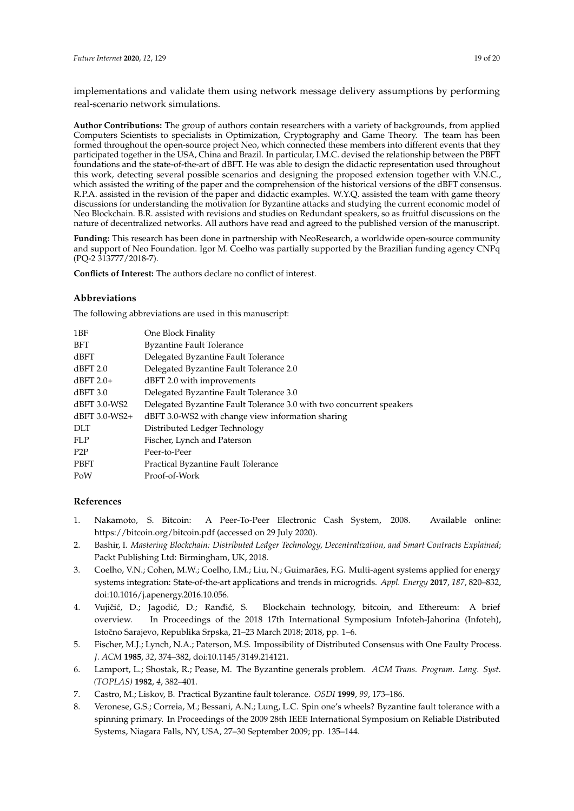implementations and validate them using network message delivery assumptions by performing real-scenario network simulations.

**Author Contributions:** The group of authors contain researchers with a variety of backgrounds, from applied Computers Scientists to specialists in Optimization, Cryptography and Game Theory. The team has been formed throughout the open-source project Neo, which connected these members into different events that they participated together in the USA, China and Brazil. In particular, I.M.C. devised the relationship between the PBFT foundations and the state-of-the-art of dBFT. He was able to design the didactic representation used throughout this work, detecting several possible scenarios and designing the proposed extension together with V.N.C., which assisted the writing of the paper and the comprehension of the historical versions of the dBFT consensus. R.P.A. assisted in the revision of the paper and didactic examples. W.Y.Q. assisted the team with game theory discussions for understanding the motivation for Byzantine attacks and studying the current economic model of Neo Blockchain. B.R. assisted with revisions and studies on Redundant speakers, so as fruitful discussions on the nature of decentralized networks. All authors have read and agreed to the published version of the manuscript.

**Funding:** This research has been done in partnership with NeoResearch, a worldwide open-source community and support of Neo Foundation. Igor M. Coelho was partially supported by the Brazilian funding agency CNPq (PQ-2 313777/2018-7).

**Conflicts of Interest:** The authors declare no conflict of interest.

# **Abbreviations**

The following abbreviations are used in this manuscript:

| 1 <sub>BF</sub>  | One Block Finality                                                   |
|------------------|----------------------------------------------------------------------|
| BFT              | <b>Byzantine Fault Tolerance</b>                                     |
| dBFT             | Delegated Byzantine Fault Tolerance                                  |
| dBFT 2.0         | Delegated Byzantine Fault Tolerance 2.0                              |
| dBFT 2.0+        | dBFT 2.0 with improvements                                           |
| dBFT 3.0         | Delegated Byzantine Fault Tolerance 3.0                              |
| dBFT 3.0-WS2     | Delegated Byzantine Fault Tolerance 3.0 with two concurrent speakers |
| dBFT 3.0-WS2+    | dBFT 3.0-WS2 with change view information sharing                    |
| DLT              | Distributed Ledger Technology                                        |
| FLP              | Fischer, Lynch and Paterson                                          |
| P <sub>2</sub> P | Peer-to-Peer                                                         |
| PBFT             | Practical Byzantine Fault Tolerance                                  |
| PoW              | Proof-of-Work                                                        |
|                  |                                                                      |

# **References**

- <span id="page-18-0"></span>1. Nakamoto, S. Bitcoin: A Peer-To-Peer Electronic Cash System, 2008. Available online: https://bitcoin.org/bitcoin.pdf (accessed on 29 July 2020).
- <span id="page-18-1"></span>2. Bashir, I. *Mastering Blockchain: Distributed Ledger Technology, Decentralization, and Smart Contracts Explained*; Packt Publishing Ltd: Birmingham, UK, 2018.
- <span id="page-18-2"></span>3. Coelho, V.N.; Cohen, M.W.; Coelho, I.M.; Liu, N.; Guimarães, F.G. Multi-agent systems applied for energy systems integration: State-of-the-art applications and trends in microgrids. *Appl. Energy* **2017**, *187*, 820–832, doi:10.1016/j.apenergy.2016.10.056.
- <span id="page-18-3"></span>4. Vujičić, D.; Jagodić, D.; Ranđić, S. Blockchain technology, bitcoin, and Ethereum: A brief overview. In Proceedings of the 2018 17th International Symposium Infoteh-Jahorina (Infoteh), Istočno Sarajevo, Republika Srpska, 21–23 March 2018; 2018, pp. 1–6.
- <span id="page-18-4"></span>5. Fischer, M.J.; Lynch, N.A.; Paterson, M.S. Impossibility of Distributed Consensus with One Faulty Process. *J. ACM* **1985**, *32*, 374–382, doi:10.1145/3149.214121.
- <span id="page-18-5"></span>6. Lamport, L.; Shostak, R.; Pease, M. The Byzantine generals problem. *ACM Trans. Program. Lang. Syst. (TOPLAS)* **1982**, *4*, 382–401.
- <span id="page-18-6"></span>7. Castro, M.; Liskov, B. Practical Byzantine fault tolerance. *OSDI* **1999**, *99*, 173–186.
- <span id="page-18-7"></span>8. Veronese, G.S.; Correia, M.; Bessani, A.N.; Lung, L.C. Spin one's wheels? Byzantine fault tolerance with a spinning primary. In Proceedings of the 2009 28th IEEE International Symposium on Reliable Distributed Systems, Niagara Falls, NY, USA, 27–30 September 2009; pp. 135–144.